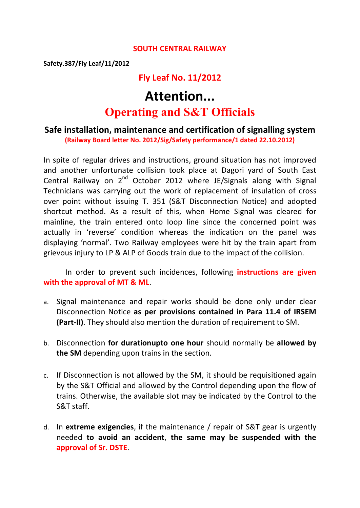#### **SOUTH CENTRAL RAILWAY**

**Safety.387/Fly Leaf/11/2012**

### **Fly Leaf No. 11/2012**

# **Attention... Operating and S&T Officials**

#### **Safe installation, maintenance and certification of signalling system (Railway Board letter No. 2012/Sig/Safety performance/1 dated 22.10.2012)**

In spite of regular drives and instructions, ground situation has not improved and another unfortunate collision took place at Dagori yard of South East Central Railway on 2<sup>nd</sup> October 2012 where JE/Signals along with Signal Technicians was carrying out the work of replacement of insulation of cross over point without issuing T. 351 (S&T Disconnection Notice) and adopted shortcut method. As a result of this, when Home Signal was cleared for mainline, the train entered onto loop line since the concerned point was actually in 'reverse' condition whereas the indication on the panel was displaying 'normal'. Two Railway employees were hit by the train apart from grievous injury to LP & ALP of Goods train due to the impact of the collision.

#### In order to prevent such incidences, following **instructions are given with the approval of MT & ML**.

- a. Signal maintenance and repair works should be done only under clear Disconnection Notice **as per provisions contained in Para 11.4 of IRSEM (Part-II)**. They should also mention the duration of requirement to SM.
- b. Disconnection **for durationupto one hour** should normally be **allowed by the SM** depending upon trains in the section.
- c. If Disconnection is not allowed by the SM, it should be requisitioned again by the S&T Official and allowed by the Control depending upon the flow of trains. Otherwise, the available slot may be indicated by the Control to the S&T staff.
- d. In **extreme exigencies**, if the maintenance / repair of S&T gear is urgently needed **to avoid an accident**, **the same may be suspended with the approval of Sr. DSTE**.